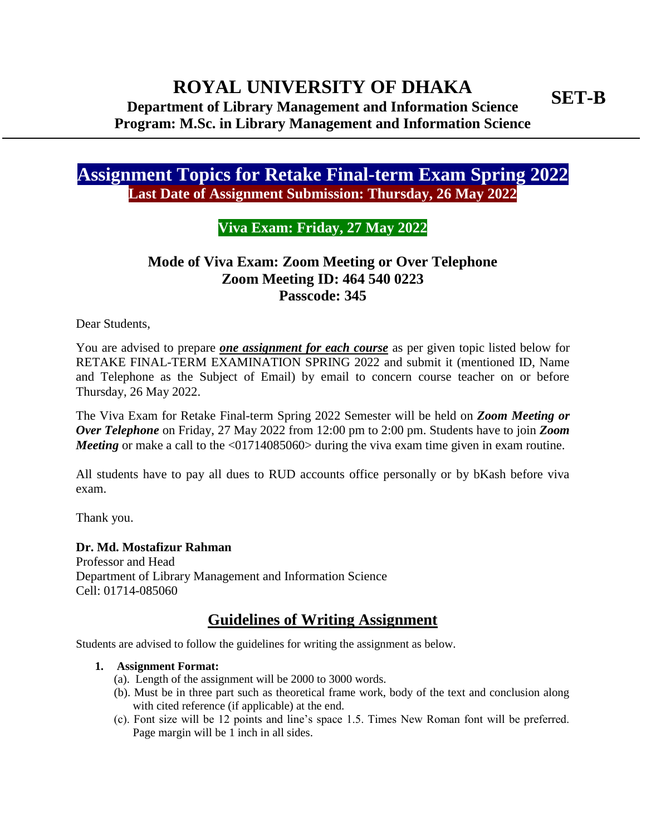**Assignment Topics for Retake Final-term Exam Spring 2022 Last Date of Assignment Submission: Thursday, 26 May 2022**

### **Viva Exam: Friday, 27 May 2022**

## **Mode of Viva Exam: Zoom Meeting or Over Telephone Zoom Meeting ID: 464 540 0223 Passcode: 345**

Dear Students,

You are advised to prepare *one assignment for each course* as per given topic listed below for RETAKE FINAL-TERM EXAMINATION SPRING 2022 and submit it (mentioned ID, Name and Telephone as the Subject of Email) by email to concern course teacher on or before Thursday, 26 May 2022.

The Viva Exam for Retake Final-term Spring 2022 Semester will be held on *Zoom Meeting or Over Telephone* on Friday, 27 May 2022 from 12:00 pm to 2:00 pm. Students have to join *Zoom Meeting* or make a call to the <01714085060> during the viva exam time given in exam routine.

All students have to pay all dues to RUD accounts office personally or by bKash before viva exam.

Thank you.

**Dr. Md. Mostafizur Rahman** Professor and Head Department of Library Management and Information Science Cell: 01714-085060

## **Guidelines of Writing Assignment**

Students are advised to follow the guidelines for writing the assignment as below.

#### **1. Assignment Format:**

- (a). Length of the assignment will be 2000 to 3000 words.
- (b). Must be in three part such as theoretical frame work, body of the text and conclusion along with cited reference (if applicable) at the end.
- (c). Font size will be 12 points and line's space 1.5. Times New Roman font will be preferred. Page margin will be  $1$  inch in all sides.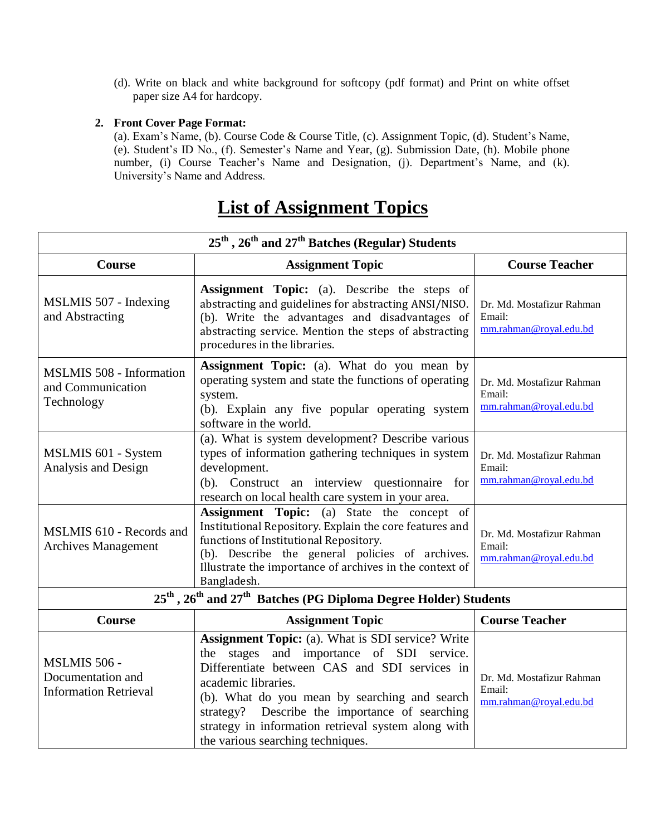(d). Write on black and white background for softcopy (pdf format) and Print on white offset paper size A4 for hardcopy.

#### **2. Front Cover Page Format:**

(a). Exam's Name, (b). Course Code & Course Title, (c). Assignment Topic, (d). Student's Name, (e). Student's ID No., (f). Semester's Name and Year, (g). Submission Date, (h). Mobile phone number, (i) Course Teacher's Name and Designation, (j). Department's Name, and (k). University's Name and Address.

| 25 <sup>th</sup> , 26 <sup>th</sup> and 27 <sup>th</sup> Batches (Regular) Students                  |                                                                                                                                                                                                                                                                                                                                                                              |                                                               |  |
|------------------------------------------------------------------------------------------------------|------------------------------------------------------------------------------------------------------------------------------------------------------------------------------------------------------------------------------------------------------------------------------------------------------------------------------------------------------------------------------|---------------------------------------------------------------|--|
| Course                                                                                               | <b>Assignment Topic</b>                                                                                                                                                                                                                                                                                                                                                      | <b>Course Teacher</b>                                         |  |
| MSLMIS 507 - Indexing<br>and Abstracting                                                             | <b>Assignment Topic:</b> (a). Describe the steps of<br>abstracting and guidelines for abstracting ANSI/NISO.<br>(b). Write the advantages and disadvantages of<br>abstracting service. Mention the steps of abstracting<br>procedures in the libraries.                                                                                                                      | Dr. Md. Mostafizur Rahman<br>Email:<br>mm.rahman@royal.edu.bd |  |
| <b>MSLMIS 508 - Information</b><br>and Communication<br>Technology                                   | <b>Assignment Topic:</b> (a). What do you mean by<br>operating system and state the functions of operating<br>system.<br>(b). Explain any five popular operating system<br>software in the world.                                                                                                                                                                            | Dr. Md. Mostafizur Rahman<br>Email:<br>mm.rahman@royal.edu.bd |  |
| MSLMIS 601 - System<br>Analysis and Design                                                           | (a). What is system development? Describe various<br>types of information gathering techniques in system<br>development.<br>(b). Construct an interview questionnaire for<br>research on local health care system in your area.                                                                                                                                              | Dr. Md. Mostafizur Rahman<br>Email:<br>mm.rahman@royal.edu.bd |  |
| MSLMIS 610 - Records and<br>Archives Management                                                      | Assignment Topic: (a) State the concept of<br>Institutional Repository. Explain the core features and<br>functions of Institutional Repository.<br>(b). Describe the general policies of archives.<br>Illustrate the importance of archives in the context of<br>Bangladesh.                                                                                                 | Dr. Md. Mostafizur Rahman<br>Email:<br>mm.rahman@royal.edu.bd |  |
| 25 <sup>th</sup> , 26 <sup>th</sup> and 27 <sup>th</sup> Batches (PG Diploma Degree Holder) Students |                                                                                                                                                                                                                                                                                                                                                                              |                                                               |  |
| Course                                                                                               | <b>Assignment Topic</b>                                                                                                                                                                                                                                                                                                                                                      | <b>Course Teacher</b>                                         |  |
| MSLMIS 506 -<br>Documentation and<br><b>Information Retrieval</b>                                    | <b>Assignment Topic:</b> (a). What is SDI service? Write<br>the stages and importance of SDI service.<br>Differentiate between CAS and SDI services in<br>academic libraries.<br>(b). What do you mean by searching and search<br>strategy? Describe the importance of searching<br>strategy in information retrieval system along with<br>the various searching techniques. | Dr. Md. Mostafizur Rahman<br>Email:<br>mm.rahman@royal.edu.bd |  |

## **List of Assignment Topics**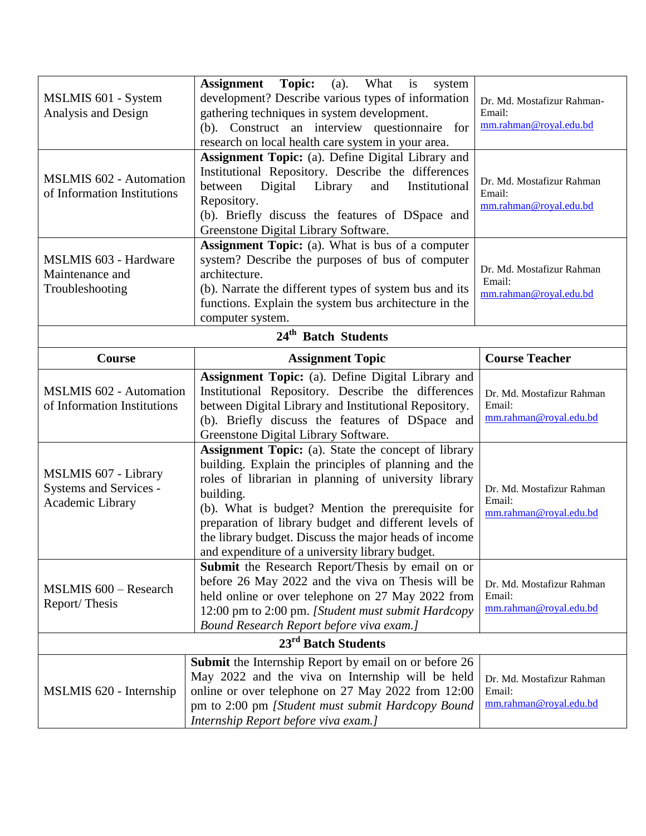| MSLMIS 601 - System<br>Analysis and Design<br><b>MSLMIS 602 - Automation</b><br>of Information Institutions | <b>Assignment</b> Topic:<br>(a). What is<br>system<br>development? Describe various types of information<br>gathering techniques in system development.<br>(b). Construct an interview questionnaire for<br>research on local health care system in your area.<br>Assignment Topic: (a). Define Digital Library and<br>Institutional Repository. Describe the differences<br>between<br>Digital<br>Library<br>and<br>Institutional<br>Repository.<br>(b). Briefly discuss the features of DSpace and<br>Greenstone Digital Library Software. | Dr. Md. Mostafizur Rahman-<br>Email:<br>mm.rahman@royal.edu.bd<br>Dr. Md. Mostafizur Rahman<br>Email:<br>mm.rahman@royal.edu.bd |  |
|-------------------------------------------------------------------------------------------------------------|----------------------------------------------------------------------------------------------------------------------------------------------------------------------------------------------------------------------------------------------------------------------------------------------------------------------------------------------------------------------------------------------------------------------------------------------------------------------------------------------------------------------------------------------|---------------------------------------------------------------------------------------------------------------------------------|--|
| <b>MSLMIS 603 - Hardware</b><br>Maintenance and<br>Troubleshooting                                          | Assignment Topic: (a). What is bus of a computer<br>system? Describe the purposes of bus of computer<br>architecture.<br>(b). Narrate the different types of system bus and its<br>functions. Explain the system bus architecture in the<br>computer system.                                                                                                                                                                                                                                                                                 | Dr. Md. Mostafizur Rahman<br>Email:<br>mm.rahman@royal.edu.bd                                                                   |  |
| 24 <sup>th</sup> Batch Students                                                                             |                                                                                                                                                                                                                                                                                                                                                                                                                                                                                                                                              |                                                                                                                                 |  |
| <b>Course</b>                                                                                               | <b>Assignment Topic</b>                                                                                                                                                                                                                                                                                                                                                                                                                                                                                                                      | <b>Course Teacher</b>                                                                                                           |  |
| <b>MSLMIS 602 - Automation</b><br>of Information Institutions                                               | <b>Assignment Topic:</b> (a). Define Digital Library and<br>Institutional Repository. Describe the differences<br>between Digital Library and Institutional Repository.<br>(b). Briefly discuss the features of DSpace and<br>Greenstone Digital Library Software.                                                                                                                                                                                                                                                                           | Dr. Md. Mostafizur Rahman<br>Email:<br>mm.rahman@royal.edu.bd                                                                   |  |
| <b>MSLMIS 607 - Library</b>                                                                                 | <b>Assignment Topic:</b> (a). State the concept of library<br>building. Explain the principles of planning and the                                                                                                                                                                                                                                                                                                                                                                                                                           |                                                                                                                                 |  |
| Systems and Services -<br>Academic Library                                                                  | roles of librarian in planning of university library<br>building.<br>(b). What is budget? Mention the prerequisite for<br>preparation of library budget and different levels of<br>the library budget. Discuss the major heads of income<br>and expenditure of a university library budget.                                                                                                                                                                                                                                                  | Dr. Md. Mostafizur Rahman<br>Email:<br>mm.rahman@royal.edu.bd                                                                   |  |
| <b>MSLMIS 600 - Research</b><br>Report/Thesis                                                               | <b>Submit</b> the Research Report/Thesis by email on or<br>before 26 May 2022 and the viva on Thesis will be<br>held online or over telephone on 27 May 2022 from<br>12:00 pm to 2:00 pm. [Student must submit Hardcopy<br>Bound Research Report before viva exam.]                                                                                                                                                                                                                                                                          | Dr. Md. Mostafizur Rahman<br>Email:<br>mm.rahman@royal.edu.bd                                                                   |  |
|                                                                                                             | 23 <sup>rd</sup> Batch Students                                                                                                                                                                                                                                                                                                                                                                                                                                                                                                              |                                                                                                                                 |  |